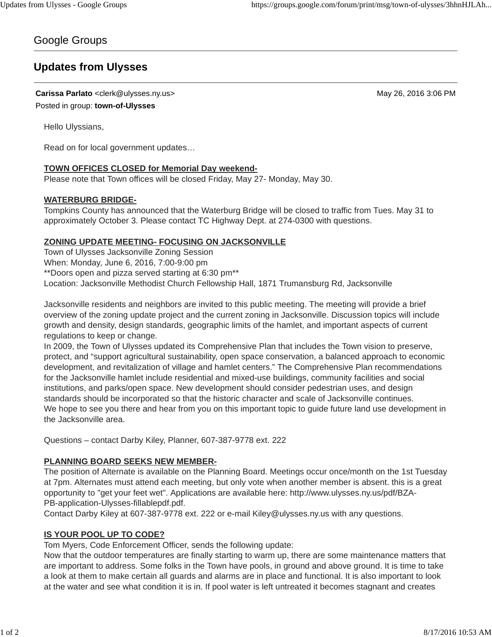## Google Groups

# **Updates from Ulysses**

**Carissa Parlato** <clerk@ulysses.ny.us> May 26, 2016 3:06 PM

Posted in group: **town-of-Ulysses**

Hello Ulyssians,

Read on for local government updates…

## **TOWN OFFICES CLOSED for Memorial Day weekend-**

Please note that Town offices will be closed Friday, May 27- Monday, May 30.

#### **WATERBURG BRIDGE-**

Tompkins County has announced that the Waterburg Bridge will be closed to traffic from Tues. May 31 to approximately October 3. Please contact TC Highway Dept. at 274-0300 with questions.

## **ZONING UPDATE MEETING- FOCUSING ON JACKSONVILLE**

Town of Ulysses Jacksonville Zoning Session When: Monday, June 6, 2016, 7:00-9:00 pm \*\*Doors open and pizza served starting at 6:30 pm\*\* Location: Jacksonville Methodist Church Fellowship Hall, 1871 Trumansburg Rd, Jacksonville

Jacksonville residents and neighbors are invited to this public meeting. The meeting will provide a brief overview of the zoning update project and the current zoning in Jacksonville. Discussion topics will include growth and density, design standards, geographic limits of the hamlet, and important aspects of current regulations to keep or change.

In 2009, the Town of Ulysses updated its Comprehensive Plan that includes the Town vision to preserve, protect, and "support agricultural sustainability, open space conservation, a balanced approach to economic development, and revitalization of village and hamlet centers." The Comprehensive Plan recommendations for the Jacksonville hamlet include residential and mixed-use buildings, community facilities and social institutions, and parks/open space. New development should consider pedestrian uses, and design standards should be incorporated so that the historic character and scale of Jacksonville continues. We hope to see you there and hear from you on this important topic to quide future land use development in the Jacksonville area.

Questions – contact Darby Kiley, Planner, 607-387-9778 ext. 222

## **PLANNING BOARD SEEKS NEW MEMBER-**

The position of Alternate is available on the Planning Board. Meetings occur once/month on the 1st Tuesday at 7pm. Alternates must attend each meeting, but only vote when another member is absent. this is a great opportunity to "get your feet wet". Applications are available here: http://www.ulysses.ny.us/pdf/BZA-PB-application-Ulysses-fillablepdf.pdf.

Contact Darby Kiley at 607-387-9778 ext. 222 or e-mail Kiley@ulysses.ny.us with any questions.

#### **IS YOUR POOL UP TO CODE?**

Tom Myers, Code Enforcement Officer, sends the following update:

Now that the outdoor temperatures are finally starting to warm up, there are some maintenance matters that are important to address. Some folks in the Town have pools, in ground and above ground. It is time to take a look at them to make certain all guards and alarms are in place and functional. It is also important to look at the water and see what condition it is in. If pool water is left untreated it becomes stagnant and creates